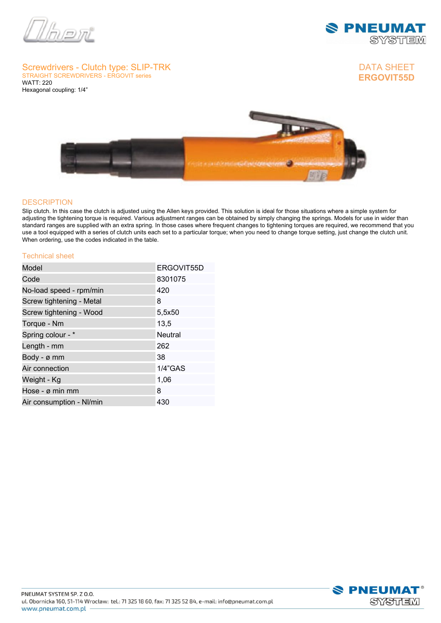



# **Screwdrivers - Clutch type: SLIP-TRK STRAIGHT SCREWDRIVERS - ERGOVIT series**

**WATT: 220 Hexagonal coupling: 1/4"**





### **DESCRIPTION**

**Slip clutch. In this case the clutch is adjusted using the Allen keys provided. This solution is ideal for those situations where a simple system for adjusting the tightening torque is required. Various adjustment ranges can be obtained by simply changing the springs. Models for use in wider than** standard ranges are supplied with an extra spring. In those cases where frequent changes to tightening torques are required, we recommend that you **use a tool equipped with a series of clutch units each set to a particular torque; when you need to change torque setting, just change the clutch unit. When ordering, use the codes indicated in the table.**

#### **Technical sheet**

| Model                    | ERGOVIT55D     |
|--------------------------|----------------|
| Code                     | 8301075        |
| No-load speed - rpm/min  | 420            |
| Screw tightening - Metal | 8              |
| Screw tightening - Wood  | 5,5x50         |
| Torque - Nm              | 13,5           |
| Spring colour - *        | <b>Neutral</b> |
| Length - mm              | 262            |
| Body - ø mm              | 38             |
| Air connection           | $1/4$ "GAS     |
| Weight - Kg              | 1,06           |
| Hose - ø min mm          | 8              |
| Air consumption - NI/min | 430            |